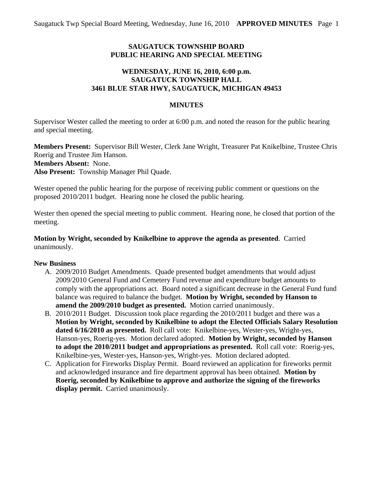# **SAUGATUCK TOWNSHIP BOARD PUBLIC HEARING AND SPECIAL MEETING**

# **WEDNESDAY, JUNE 16, 2010, 6:00 p.m. SAUGATUCK TOWNSHIP HALL 3461 BLUE STAR HWY, SAUGATUCK, MICHIGAN 49453**

### **MINUTES**

Supervisor Wester called the meeting to order at 6:00 p.m. and noted the reason for the public hearing and special meeting.

**Members Present:** Supervisor Bill Wester, Clerk Jane Wright, Treasurer Pat Knikelbine, Trustee Chris Roerig and Trustee Jim Hanson. **Members Absent:** None. **Also Present:** Township Manager Phil Quade.

Wester opened the public hearing for the purpose of receiving public comment or questions on the proposed 2010/2011 budget. Hearing none he closed the public hearing.

Wester then opened the special meeting to public comment. Hearing none, he closed that portion of the meeting.

### **Motion by Wright, seconded by Knikelbine to approve the agenda as presented**. Carried unanimously.

### **New Business**

- A. 2009/2010 Budget Amendments. Quade presented budget amendments that would adjust 2009/2010 General Fund and Cemetery Fund revenue and expenditure budget amounts to comply with the appropriations act. Board noted a significant decrease in the General Fund fund balance was required to balance the budget. **Motion by Wright, seconded by Hanson to amend the 2009/2010 budget as presented.** Motion carried unanimously.
- B. 2010/2011 Budget. Discussion took place regarding the 2010/2011 budget and there was a **Motion by Wright, seconded by Knikelbine to adopt the Elected Officials Salary Resolution dated 6/16/2010 as presented.** Roll call vote: Knikelbine-yes, Wester-yes, Wright-yes, Hanson-yes, Roerig-yes. Motion declared adopted. **Motion by Wright, seconded by Hanson to adopt the 2010/2011 budget and appropriations as presented.** Roll call vote: Roerig-yes, Knikelbine-yes, Wester-yes, Hanson-yes, Wright-yes. Motion declared adopted.
- C. Application for Fireworks Display Permit. Board reviewed an application for fireworks permit and acknowledged insurance and fire department approval has been obtained. **Motion by Roerig, seconded by Knikelbine to approve and authorize the signing of the fireworks display permit.** Carried unanimously.